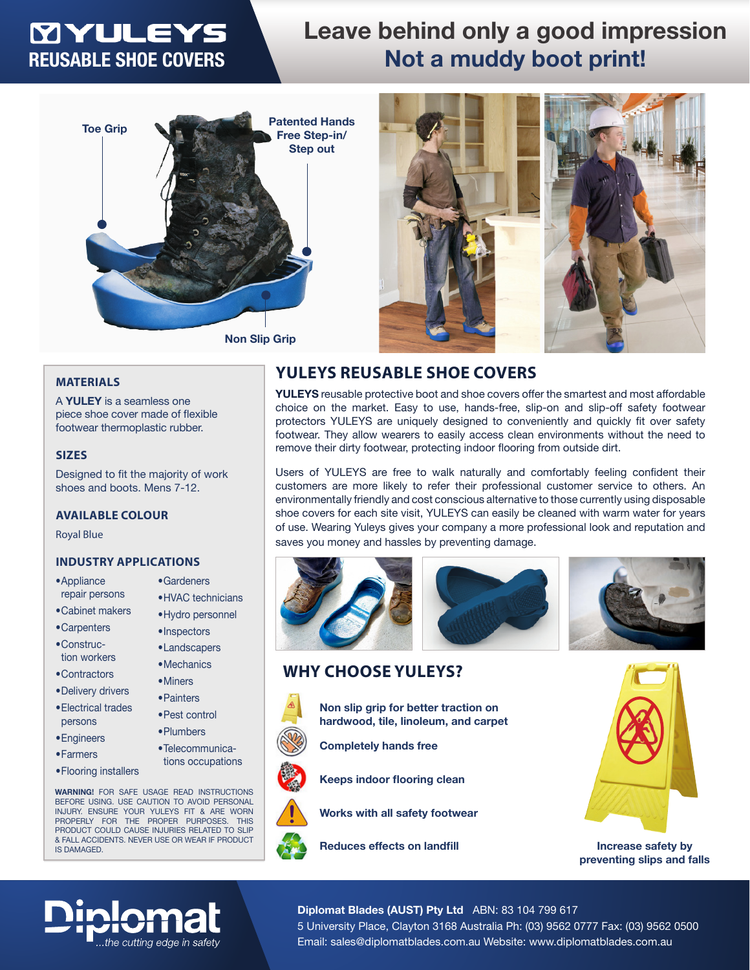# **MYULEYS** REUSABLE SHOE COVERS

## Leave behind only a good impression Not a muddy boot print!





**YULEYS** reusable protective boot and shoe covers offer the smartest and most affordable choice on the market. Easy to use, hands-free, slip-on and slip-off safety footwear protectors YULEYS are uniquely designed to conveniently and quickly fit over safety footwear. They allow wearers to easily access clean environments without the need to

Users of YULEYS are free to walk naturally and comfortably feeling confident their customers are more likely to refer their professional customer service to others. An environmentally friendly and cost conscious alternative to those currently using disposable shoe covers for each site visit, YULEYS can easily be cleaned with warm water for years of use. Wearing Yuleys gives your company a more professional look and reputation and

remove their dirty footwear, protecting indoor flooring from outside dirt.

### **MATERIALS**

A **YULEY** is a seamless one piece shoe cover made of flexible footwear thermoplastic rubber.

#### **SIZES**

Designed to fit the majority of work shoes and boots. Mens 7-12.

### **AVAILABLE COLOUR**

Royal Blue

### **INDUSTRY APPLICATIONS**

- •Appliance repair persons
- •Cabinet makers
- •Carpenters •Construc-
- tion workers
- •Contractors
- •Delivery drivers
- •Electrical trades persons
- •Engineers
- •Farmers
- •Flooring installers

•Gardeners

- •HVAC technicians
- 
- 
- 
- 
- 
- 
- 
- 
- tions occupations

**WARNING!** FOR SAFE USAGE READ INSTRUCTIONS BEFORE USING. USE CAUTION TO AVOID PERSONAL INJURY. ENSURE YOUR YULEYS FIT & ARE WORN PROPERLY FOR THE PROPER PURPOSES. THIS PRODUCT COULD CAUSE INJURIES RELATED TO SLIP & FALL ACCIDENTS. NEVER USE OR WEAR IF PRODUCT IS DAMAGED.

the cuttina edae in safety

## •Hydro personnel

- •Inspectors
- •Landscapers
- •Mechanics
- •Miners
- 
- 
- 
- 







**• Non slip grip for better traction on hardwood, tile, linoleum, and carpet**

**YULEYS REUSABLE SHOE COVERS**

saves you money and hassles by preventing damage.



**• Keeps indoor flooring clean**

**Completely hands free** 

**WHY CHOOSE YULEYS?**



**Increase safety by preventing slips and falls**

### Diplomat Blades (AUST) Pty Ltd ABN: 83 104 799 617

5 University Place, Clayton 3168 Australia Ph: (03) 9562 0777 Fax: (03) 9562 0500 Email: sales@diplomatblades.com.au Website: www.diplomatblades.com.au

- 
- 
- 
- 
- •Painters
- •Pest control
- •Plumbers
- •Telecommunica-